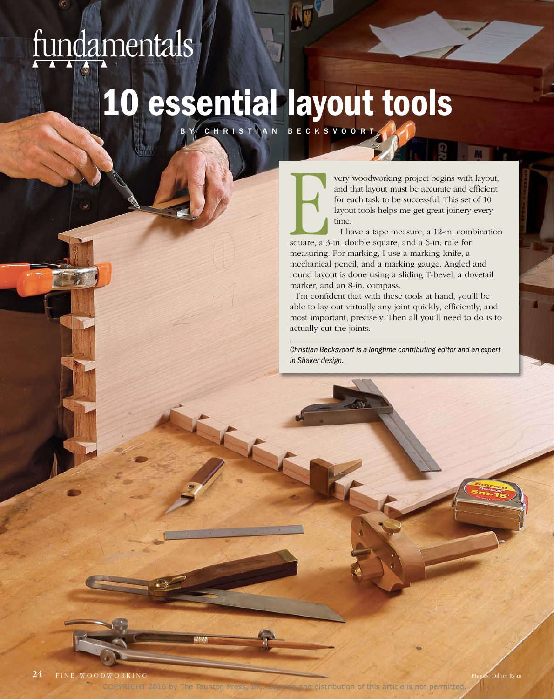# fundamentals

# 10 essential layout tools

BY CHRISTIAN BECKSVOORT

very woodworking project begins with layout, and that layout must be accurate and efficient for each task to be successful. This set of 10 layout tools helps me get great joinery every time.

Square, a 3-I have a tape measure, a 12-in. combination square, a 3-in. double square, and a 6-in. rule for measuring. For marking, I use a marking knife, a mechanical pencil, and a marking gauge. Angled and round layout is done using a sliding T-bevel, a dovetail marker, and an 8-in. compass.

I'm confident that with these tools at hand, you'll be able to lay out virtually any joint quickly, efficiently, and most important, precisely. then all you'll need to do is to actually cut the joints.

*Christian Becksvoort is a longtime contributing editor and an expert in Shaker design.*

COPYRIGHT 2016 by The Taunton Press, Inc. Copying and distribution of this article is not permitted.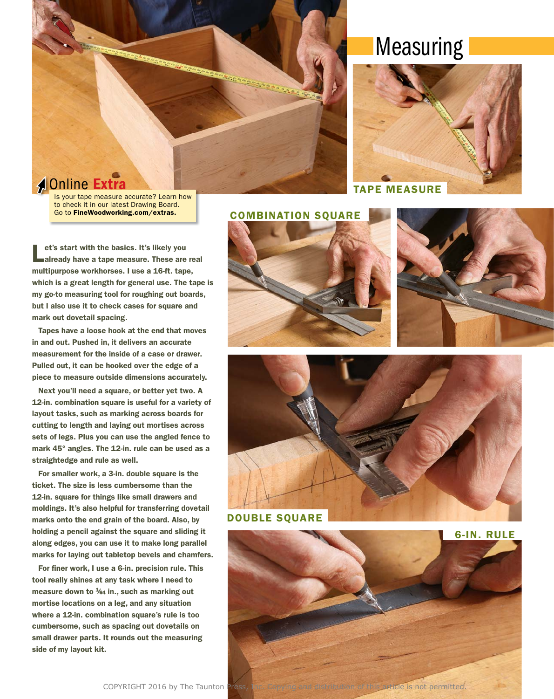#### **A Online Extra**

Is your tape measure accurate? Learn how to check it in our latest Drawing Board. Go to fineWoodworking.com/extras.

let's start with the basics. it's likely you already have a tape measure. These are real multipurpose workhorses. I use a 16-ft. tape, which is a great length for general use. The tape is my go-to measuring tool for roughing out boards, but I also use it to check cases for square and mark out dovetail spacing.

Tapes have a loose hook at the end that moves in and out. Pushed in, it delivers an accurate measurement for the inside of a case or drawer. pulled out, it can be hooked over the edge of a piece to measure outside dimensions accurately.

Next you'll need a square, or better yet two. A 12-in. combination square is useful for a variety of layout tasks, such as marking across boards for cutting to length and laying out mortises across sets of legs. Plus you can use the angled fence to mark 45° angles. The 12-in. rule can be used as a straightedge and rule as well.

For smaller work, a 3-in, double square is the ticket. The size is less cumbersome than the 12-in. square for things like small drawers and moldings. it's also helpful for transferring dovetail marks onto the end grain of the board. Also, by holding a pencil against the square and sliding it along edges, you can use it to make long parallel marks for laying out tabletop bevels and chamfers.

For finer work, I use a 6-in. precision rule. This tool really shines at any task where I need to measure down to  $\frac{4}{64}$  in., such as marking out mortise locations on a leg, and any situation where a 12-in. combination square's rule is too cumbersome, such as spacing out dovetails on small drawer parts. it rounds out the measuring side of my layout kit.

#### coMbinaTion SQuare







double SQuare



### **Measuring**

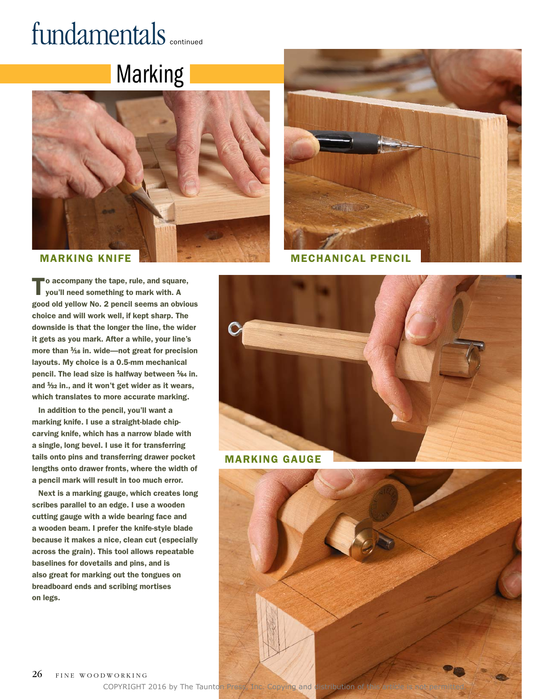# fundamentals <sub>continued</sub>

### Marking



#### marking knife

To accompany the tape, rule, and square, you'll need something to mark with. A good old yellow No. 2 pencil seems an obvious choice and will work well, if kept sharp. The downside is that the longer the line, the wider it gets as you mark. After a while, your line's more than <sup>1</sup>/<sub>16</sub> in. wide—not great for precision layouts. My choice is a 0.5-mm mechanical pencil. The lead size is halfway between  $\frac{4}{64}$  in. and <sup>1</sup>/<sub>32</sub> in., and it won't get wider as it wears, which translates to more accurate marking.

In addition to the pencil, you'll want a marking knife. I use a straight-blade chipcarving knife, which has a narrow blade with a single, long bevel. I use it for transferring tails onto pins and transferring drawer pocket lengths onto drawer fronts, where the width of a pencil mark will result in too much error.

Next is a marking gauge, which creates long scribes parallel to an edge. I use a wooden cutting gauge with a wide bearing face and a wooden beam. I prefer the knife-style blade because it makes a nice, clean cut (especially across the grain). This tool allows repeatable baselines for dovetails and pins, and is also great for marking out the tongues on breadboard ends and scribing mortises on legs.



mechanical pencil



Marking gauge

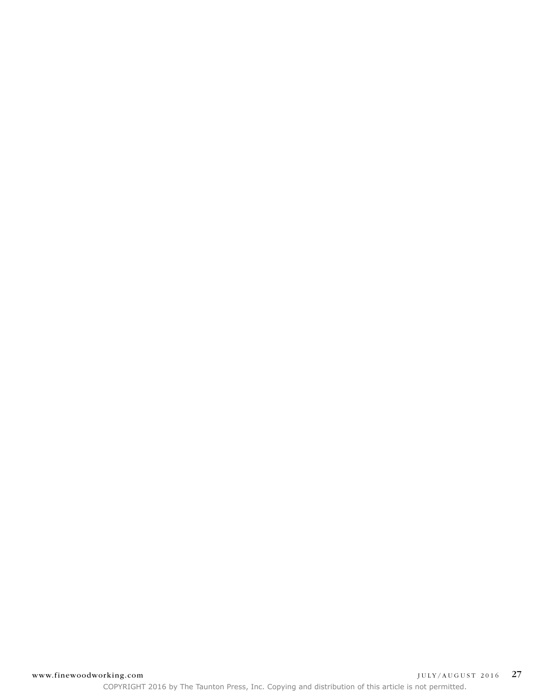www.finewoodworking.com JULY/AUGUST 2016 27 COPYRIGHT 2016 by The Taunton Press, Inc. Copying and distribution of this article is not permitted.